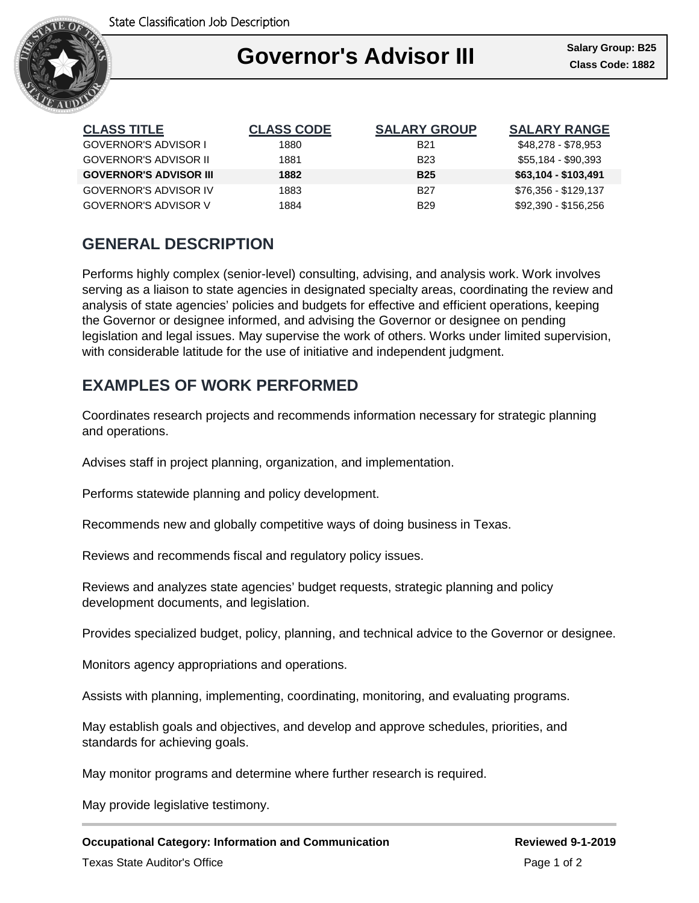

### Ι **Governor's Advisor III**

| <b>CLASS TITLE</b>            | <b>CLASS CODE</b> | <b>SALARY GROUP</b> | <b>SALARY RANGE</b>  |
|-------------------------------|-------------------|---------------------|----------------------|
| GOVERNOR'S ADVISOR I          | 1880              | <b>B21</b>          | \$48,278 - \$78,953  |
| <b>GOVERNOR'S ADVISOR II</b>  | 1881              | <b>B23</b>          | \$55,184 - \$90,393  |
| <b>GOVERNOR'S ADVISOR III</b> | 1882              | <b>B25</b>          | \$63,104 - \$103,491 |
| <b>GOVERNOR'S ADVISOR IV</b>  | 1883              | <b>B27</b>          | \$76,356 - \$129,137 |
| <b>GOVERNOR'S ADVISOR V</b>   | 1884              | <b>B29</b>          | \$92,390 - \$156,256 |

# **GENERAL DESCRIPTION**

Performs highly complex (senior-level) consulting, advising, and analysis work. Work involves serving as a liaison to state agencies in designated specialty areas, coordinating the review and analysis of state agencies' policies and budgets for effective and efficient operations, keeping the Governor or designee informed, and advising the Governor or designee on pending legislation and legal issues. May supervise the work of others. Works under limited supervision, with considerable latitude for the use of initiative and independent judgment.

### **EXAMPLES OF WORK PERFORMED**

Coordinates research projects and recommends information necessary for strategic planning and operations.

Advises staff in project planning, organization, and implementation.

Performs statewide planning and policy development.

Recommends new and globally competitive ways of doing business in Texas.

Reviews and recommends fiscal and regulatory policy issues.

Reviews and analyzes state agencies' budget requests, strategic planning and policy development documents, and legislation.

Provides specialized budget, policy, planning, and technical advice to the Governor or designee.

Monitors agency appropriations and operations.

Assists with planning, implementing, coordinating, monitoring, and evaluating programs.

May establish goals and objectives, and develop and approve schedules, priorities, and standards for achieving goals.

May monitor programs and determine where further research is required.

May provide legislative testimony.

**Occupational Category: Information and Communication Reviewed 9-1-2019** Texas State Auditor's Office **Page 1 of 2** and 2